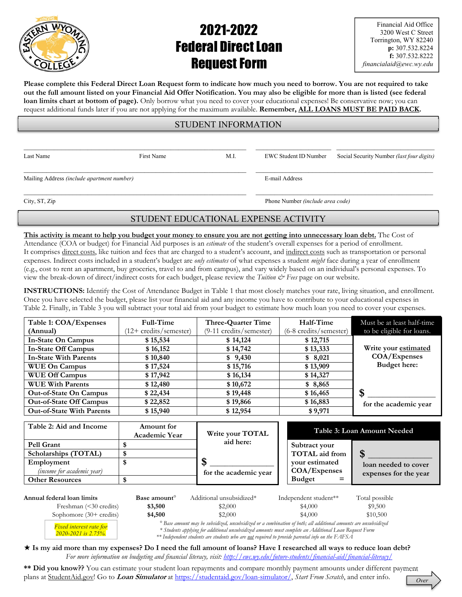

# 2021-2022 Federal Direct Loan Request Form

**Please complete this Federal Direct Loan Request form to indicate how much you need to borrow. You are not required to take out the full amount listed on your Financial Aid Offer Notification. You may also be eligible for more than is listed (see federal loan limits chart at bottom of page).** Only borrow what you need to cover your educational expenses! Be conservative now; you can request additional funds later if you are not applying for the maximum available. **Remember, ALL LOANS MUST BE PAID BACK.** 

#### STUDENT INFORMATION

 $\mathcal{L}_\mathcal{L} = \mathcal{L}_\mathcal{L} = \mathcal{L}_\mathcal{L} = \mathcal{L}_\mathcal{L} = \mathcal{L}_\mathcal{L} = \mathcal{L}_\mathcal{L} = \mathcal{L}_\mathcal{L} = \mathcal{L}_\mathcal{L} = \mathcal{L}_\mathcal{L} = \mathcal{L}_\mathcal{L} = \mathcal{L}_\mathcal{L} = \mathcal{L}_\mathcal{L} = \mathcal{L}_\mathcal{L} = \mathcal{L}_\mathcal{L} = \mathcal{L}_\mathcal{L} = \mathcal{L}_\mathcal{L} = \mathcal{L}_\mathcal{L}$ 

Last Name First Name M.I. EWC Student ID Number Social Security Number *(last four digits)*

Mailing Address *(include apartment number)* E-mail Address

*2020-2021 is 2.75%.*

 $\mathcal{L}_\mathcal{L} = \mathcal{L}_\mathcal{L} = \mathcal{L}_\mathcal{L} = \mathcal{L}_\mathcal{L} = \mathcal{L}_\mathcal{L} = \mathcal{L}_\mathcal{L} = \mathcal{L}_\mathcal{L} = \mathcal{L}_\mathcal{L} = \mathcal{L}_\mathcal{L} = \mathcal{L}_\mathcal{L} = \mathcal{L}_\mathcal{L} = \mathcal{L}_\mathcal{L} = \mathcal{L}_\mathcal{L} = \mathcal{L}_\mathcal{L} = \mathcal{L}_\mathcal{L} = \mathcal{L}_\mathcal{L} = \mathcal{L}_\mathcal{L}$ 

City, ST, Zip **Phone Number** *(include area code)* Phone Number *(include area code)* 

### STUDENT EDUCATIONAL EXPENSE ACTIVITY

**This activity is meant to help you budget your money to ensure you are not getting into unnecessary loan debt.** The Cost of Attendance (COA or budget) for Financial Aid purposes is an *estimate* of the student's overall expenses for a period of enrollment. It comprises direct costs, like tuition and fees that are charged to a student's account, and indirect costs such as transportation or personal expenses. Indirect costs included in a student's budget are *only estimates* of what expenses a student *might* face during a year of enrollment (e.g., cost to rent an apartment, buy groceries, travel to and from campus), and vary widely based on an individual's personal expenses. To view the break-down of direct/indirect costs for each budget, please review the *Tuition & Fees* page on our website.

**INSTRUCTIONS:** Identify the Cost of Attendance Budget in Table 1 that most closely matches your rate, living situation, and enrollment. Once you have selected the budget, please list your financial aid and any income you have to contribute to your educational expenses in Table 2. Finally, in Table 3 you will subtract your total aid from your budget to estimate how much loan you need to cover your expenses.

| Table 1: COA/Expenses            | Full-Time                               | Three-Quarter Time      | Half-Time              | Must be at least half-time |
|----------------------------------|-----------------------------------------|-------------------------|------------------------|----------------------------|
| (Annual)                         | $(12 + \text{credits}/\text{semester})$ | (9-11 credits/semester) | (6-8 credits/semester) | to be eligible for loans.  |
| <b>In-State On Campus</b>        | \$15,534                                | \$14,124                | \$12,715               |                            |
| <b>In-State Off Campus</b>       | \$16,152                                | \$14,742                | \$13,333               | Write your estimated       |
| <b>In-State With Parents</b>     | \$10,840                                | \$9,430                 | \$8,021                | COA/Expenses               |
| <b>WUE On Campus</b>             | \$17,524                                | \$15,716                | \$13,909               | <b>Budget here:</b>        |
| <b>WUE Off Campus</b>            | \$17,942                                | \$16,134                | \$14,327               |                            |
| <b>WUE With Parents</b>          | \$12,480                                | \$10,672                | \$8,865                |                            |
| <b>Out-of-State On Campus</b>    | \$22,434                                | \$19,448                | \$16,465               | \$                         |
| <b>Out-of-State Off Campus</b>   | \$22,852                                | \$19,866                | \$16,883               | for the academic year      |
| <b>Out-of-State With Parents</b> | \$15,940                                | \$12,954                | \$9,971                |                            |

| Table 2: Aid and Income           | Amount for<br>Academic Year | Write your TOTAL<br>aid here: | Table 3: Loan Amount Needed |                       |  |
|-----------------------------------|-----------------------------|-------------------------------|-----------------------------|-----------------------|--|
| <b>Pell Grant</b>                 |                             |                               | Subtract your               |                       |  |
| Scholarships (TOTAL)              |                             |                               | <b>TOTAL</b> aid from       |                       |  |
| Employment                        |                             |                               | vour estimated              | loan needed to cover  |  |
| <i>(income for academic year)</i> |                             | for the academic year         | COA/Expenses                | expenses for the year |  |
| <b>Other Resources</b>            |                             |                               | <b>Budget</b>               |                       |  |
|                                   |                             |                               |                             |                       |  |

| Annual federal loan limits | Base amount <sup>o</sup> | Additional unsubsidized*                                                                                                                                                                                                              | Independent student** | Total possible |  |  |
|----------------------------|--------------------------|---------------------------------------------------------------------------------------------------------------------------------------------------------------------------------------------------------------------------------------|-----------------------|----------------|--|--|
| Freshman $(30 credits)$    | \$3,500                  | \$2,000                                                                                                                                                                                                                               | \$4,000               | \$9,500        |  |  |
| Sophomore $(30+$ credits)  | \$4,500                  | \$2,000                                                                                                                                                                                                                               | \$4,000               | \$10,500       |  |  |
| Fixed interest rate for    |                          | <sup>o</sup> Base amount may be subsidized, unsubsidized or a combination of both; all additional amounts are unsubsidized<br>* Crudoure applying for additional uncubediesed amounte must complete an Additional Loan Dequast Flores |                       |                |  |  |

*\* Students applying for additional unsubsidized amounts must complete an Additional Loan Request Form* 

 *\*\* Independent students are students who are not required to provide parental info on the FAFSA* 

 **Is my aid more than my expenses? Do I need the full amount of loans? Have I researched all ways to reduce loan debt?**  *For more information on budgeting and financial literacy, visit: http://ewc.wy.edu/future-students/financial-aid/financial-literacy/* 

**\*\* Did you know??** You can estimate your student loan repayments and compare monthly payment amounts under different payment plans at StudentAid.gov! Go to **Loan Simulator** at https://studentaid.gov/loan-simulator/, *Start From Scratch*, and enter info. *Over*